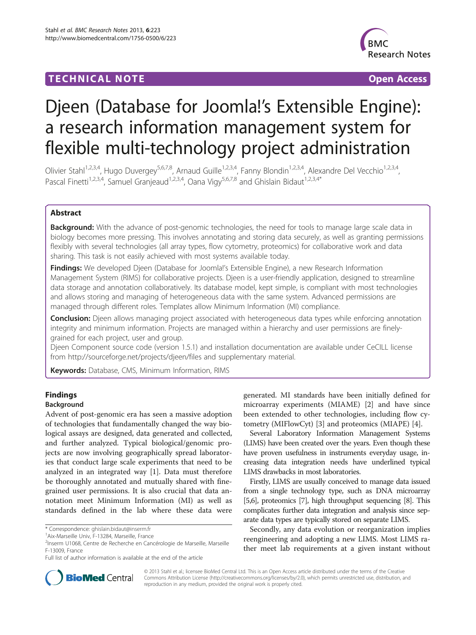## **TECHNICAL NOTE SECOND EXECUTIVE CONSUMING THE OPEN ACCESS**



# Djeen (Database for Joomla!'s Extensible Engine): a research information management system for flexible multi-technology project administration

Olivier Stahl<sup>1,2,3,4</sup>, Hugo Duvergey<sup>5,6,7,8</sup>, Arnaud Guille<sup>1,2,3,4</sup>, Fanny Blondin<sup>1,2,3,4</sup>, Alexandre Del Vecchio<sup>1,2,3,4</sup>, Pascal Finetti<sup>1,2,3,4</sup>, Samuel Granjeaud<sup>1,2,3,4</sup>, Oana Vigy<sup>5,6,7,8</sup> and Ghislain Bidaut<sup>1,2,3,4\*</sup>

#### Abstract

Background: With the advance of post-genomic technologies, the need for tools to manage large scale data in biology becomes more pressing. This involves annotating and storing data securely, as well as granting permissions flexibly with several technologies (all array types, flow cytometry, proteomics) for collaborative work and data sharing. This task is not easily achieved with most systems available today.

Findings: We developed Djeen (Database for Joomla!'s Extensible Engine), a new Research Information Management System (RIMS) for collaborative projects. Djeen is a user-friendly application, designed to streamline data storage and annotation collaboratively. Its database model, kept simple, is compliant with most technologies and allows storing and managing of heterogeneous data with the same system. Advanced permissions are managed through different roles. Templates allow Minimum Information (MI) compliance.

**Conclusion:** Djeen allows managing project associated with heterogeneous data types while enforcing annotation integrity and minimum information. Projects are managed within a hierarchy and user permissions are finelygrained for each project, user and group.

Djeen Component source code (version 1.5.1) and installation documentation are available under CeCILL license from http://sourceforge.net/projects/djeen/files and supplementary material.

Keywords: Database, CMS, Minimum Information, RIMS

## Findings

### Background

Advent of post-genomic era has seen a massive adoption of technologies that fundamentally changed the way biological assays are designed, data generated and collected, and further analyzed. Typical biological/genomic projects are now involving geographically spread laboratories that conduct large scale experiments that need to be analyzed in an integrated way [[1\]](#page-7-0). Data must therefore be thoroughly annotated and mutually shared with finegrained user permissions. It is also crucial that data annotation meet Minimum Information (MI) as well as standards defined in the lab where these data were

generated. MI standards have been initially defined for microarray experiments (MIAME) [[2\]](#page-7-0) and have since been extended to other technologies, including flow cytometry (MIFlowCyt) [\[3](#page-7-0)] and proteomics (MIAPE) [[4\]](#page-7-0).

Several Laboratory Information Management Systems (LIMS) have been created over the years. Even though these have proven usefulness in instruments everyday usage, increasing data integration needs have underlined typical LIMS drawbacks in most laboratories.

Firstly, LIMS are usually conceived to manage data issued from a single technology type, such as DNA microarray [[5,6\]](#page-7-0), proteomics [\[7\]](#page-7-0), high throughput sequencing [\[8\]](#page-7-0). This complicates further data integration and analysis since separate data types are typically stored on separate LIMS.

Secondly, any data evolution or reorganization implies reengineering and adopting a new LIMS. Most LIMS rather meet lab requirements at a given instant without



© 2013 Stahl et al.; licensee BioMed Central Ltd. This is an Open Access article distributed under the terms of the Creative Commons Attribution License [\(http://creativecommons.org/licenses/by/2.0\)](http://creativecommons.org/licenses/by/2.0), which permits unrestricted use, distribution, and reproduction in any medium, provided the original work is properly cited.

<sup>\*</sup> Correspondence: [ghislain.bidaut@inserm.fr](mailto:ghislain.bidaut@inserm.fr) <sup>1</sup>

Aix-Marseille Univ, F-13284, Marseille, France

<sup>&</sup>lt;sup>2</sup>Inserm U1068, Centre de Recherche en Cancérologie de Marseille, Marseille F-13009, France

Full list of author information is available at the end of the article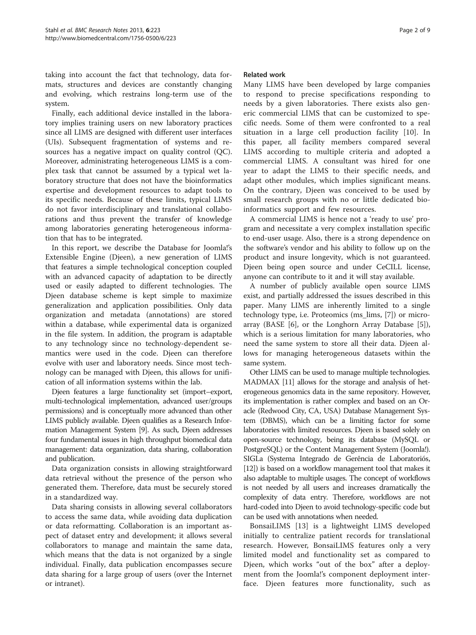taking into account the fact that technology, data formats, structures and devices are constantly changing and evolving, which restrains long-term use of the system.

Finally, each additional device installed in the laboratory implies training users on new laboratory practices since all LIMS are designed with different user interfaces (UIs). Subsequent fragmentation of systems and resources has a negative impact on quality control (QC). Moreover, administrating heterogeneous LIMS is a complex task that cannot be assumed by a typical wet laboratory structure that does not have the bioinformatics expertise and development resources to adapt tools to its specific needs. Because of these limits, typical LIMS do not favor interdisciplinary and translational collaborations and thus prevent the transfer of knowledge among laboratories generating heterogeneous information that has to be integrated.

In this report, we describe the Database for Joomla!'s Extensible Engine (Djeen), a new generation of LIMS that features a simple technological conception coupled with an advanced capacity of adaptation to be directly used or easily adapted to different technologies. The Djeen database scheme is kept simple to maximize generalization and application possibilities. Only data organization and metadata (annotations) are stored within a database, while experimental data is organized in the file system. In addition, the program is adaptable to any technology since no technology-dependent semantics were used in the code. Djeen can therefore evolve with user and laboratory needs. Since most technology can be managed with Djeen, this allows for unification of all information systems within the lab.

Djeen features a large functionality set (import–export, multi-technological implementation, advanced user/groups permissions) and is conceptually more advanced than other LIMS publicly available. Djeen qualifies as a Research Information Management System [[9](#page-7-0)]. As such, Djeen addresses four fundamental issues in high throughput biomedical data management: data organization, data sharing, collaboration and publication.

Data organization consists in allowing straightforward data retrieval without the presence of the person who generated them. Therefore, data must be securely stored in a standardized way.

Data sharing consists in allowing several collaborators to access the same data, while avoiding data duplication or data reformatting. Collaboration is an important aspect of dataset entry and development; it allows several collaborators to manage and maintain the same data, which means that the data is not organized by a single individual. Finally, data publication encompasses secure data sharing for a large group of users (over the Internet or intranet).

#### Related work

Many LIMS have been developed by large companies to respond to precise specifications responding to needs by a given laboratories. There exists also generic commercial LIMS that can be customized to specific needs. Some of them were confronted to a real situation in a large cell production facility [\[10](#page-7-0)]. In this paper, all facility members compared several LIMS according to multiple criteria and adopted a commercial LIMS. A consultant was hired for one year to adapt the LIMS to their specific needs, and adapt other modules, which implies significant means. On the contrary, Djeen was conceived to be used by small research groups with no or little dedicated bioinformatics support and few resources.

A commercial LIMS is hence not a 'ready to use' program and necessitate a very complex installation specific to end-user usage. Also, there is a strong dependence on the software's vendor and his ability to follow up on the product and insure longevity, which is not guaranteed. Djeen being open source and under CeCILL license, anyone can contribute to it and it will stay available.

A number of publicly available open source LIMS exist, and partially addressed the issues described in this paper. Many LIMS are inherently limited to a single technology type, i.e. Proteomics (ms\_lims, [[7](#page-7-0)]) or microarray (BASE [[6\]](#page-7-0), or the Longhorn Array Database [\[5](#page-7-0)]), which is a serious limitation for many laboratories, who need the same system to store all their data. Djeen allows for managing heterogeneous datasets within the same system.

Other LIMS can be used to manage multiple technologies. MADMAX [\[11](#page-7-0)] allows for the storage and analysis of heterogeneous genomics data in the same repository. However, its implementation is rather complex and based on an Oracle (Redwood City, CA, USA) Database Management System (DBMS), which can be a limiting factor for some laboratories with limited resources. Djeen is based solely on open-source technology, being its database (MySQL or PostgreSQL) or the Content Management System (Joomla!). SIGLa (Systema Integrado de Gerência de Laboratoriós, [[12\]](#page-7-0)) is based on a workflow management tool that makes it also adaptable to multiple usages. The concept of workflows is not needed by all users and increases dramatically the complexity of data entry. Therefore, workflows are not hard-coded into Djeen to avoid technology-specific code but can be used with annotations when needed.

BonsaiLIMS [[13\]](#page-8-0) is a lightweight LIMS developed initially to centralize patient records for translational research. However, BonsaiLIMS features only a very limited model and functionality set as compared to Djeen, which works "out of the box" after a deployment from the Joomla!'s component deployment interface. Djeen features more functionality, such as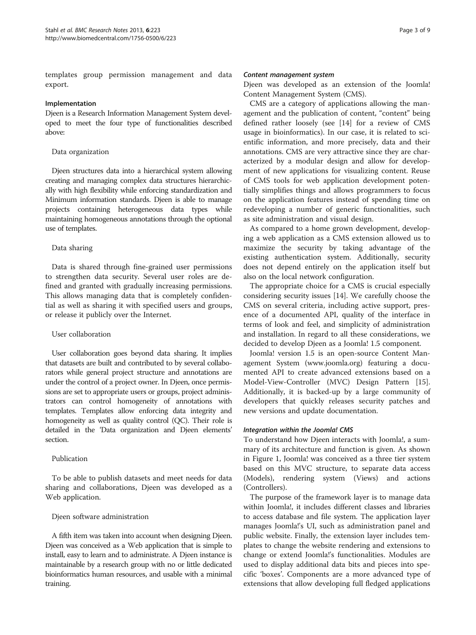templates group permission management and data export.

#### Implementation

Djeen is a Research Information Management System developed to meet the four type of functionalities described above:

#### Data organization

Djeen structures data into a hierarchical system allowing creating and managing complex data structures hierarchically with high flexibility while enforcing standardization and Minimum information standards. Djeen is able to manage projects containing heterogeneous data types while maintaining homogeneous annotations through the optional use of templates.

#### Data sharing

Data is shared through fine-grained user permissions to strengthen data security. Several user roles are defined and granted with gradually increasing permissions. This allows managing data that is completely confidential as well as sharing it with specified users and groups, or release it publicly over the Internet.

#### User collaboration

User collaboration goes beyond data sharing. It implies that datasets are built and contributed to by several collaborators while general project structure and annotations are under the control of a project owner. In Djeen, once permissions are set to appropriate users or groups, project administrators can control homogeneity of annotations with templates. Templates allow enforcing data integrity and homogeneity as well as quality control (QC). Their role is detailed in the 'Data organization and Djeen elements' section.

#### Publication

To be able to publish datasets and meet needs for data sharing and collaborations, Djeen was developed as a Web application.

#### Djeen software administration

A fifth item was taken into account when designing Djeen. Djeen was conceived as a Web application that is simple to install, easy to learn and to administrate. A Djeen instance is maintainable by a research group with no or little dedicated bioinformatics human resources, and usable with a minimal training.

#### Content management system

Djeen was developed as an extension of the Joomla! Content Management System (CMS).

CMS are a category of applications allowing the management and the publication of content, "content" being defined rather loosely (see [[14](#page-8-0)] for a review of CMS usage in bioinformatics). In our case, it is related to scientific information, and more precisely, data and their annotations. CMS are very attractive since they are characterized by a modular design and allow for development of new applications for visualizing content. Reuse of CMS tools for web application development potentially simplifies things and allows programmers to focus on the application features instead of spending time on redeveloping a number of generic functionalities, such as site administration and visual design.

As compared to a home grown development, developing a web application as a CMS extension allowed us to maximize the security by taking advantage of the existing authentication system. Additionally, security does not depend entirely on the application itself but also on the local network configuration.

The appropriate choice for a CMS is crucial especially considering security issues [\[14](#page-8-0)]. We carefully choose the CMS on several criteria, including active support, presence of a documented API, quality of the interface in terms of look and feel, and simplicity of administration and installation. In regard to all these considerations, we decided to develop Djeen as a Joomla! 1.5 component.

Joomla! version 1.5 is an open-source Content Management System ([www.joomla.org\)](http://www.joomla.org) featuring a documented API to create advanced extensions based on a Model-View-Controller (MVC) Design Pattern [\[15](#page-8-0)]. Additionally, it is backed-up by a large community of developers that quickly releases security patches and new versions and update documentation.

#### Integration within the Joomla! CMS

To understand how Djeen interacts with Joomla!, a summary of its architecture and function is given. As shown in Figure [1,](#page-3-0) Joomla! was conceived as a three tier system based on this MVC structure, to separate data access (Models), rendering system (Views) and actions (Controllers).

The purpose of the framework layer is to manage data within Joomla!, it includes different classes and libraries to access database and file system. The application layer manages Joomla!'s UI, such as administration panel and public website. Finally, the extension layer includes templates to change the website rendering and extensions to change or extend Joomla!'s functionalities. Modules are used to display additional data bits and pieces into specific 'boxes'. Components are a more advanced type of extensions that allow developing full fledged applications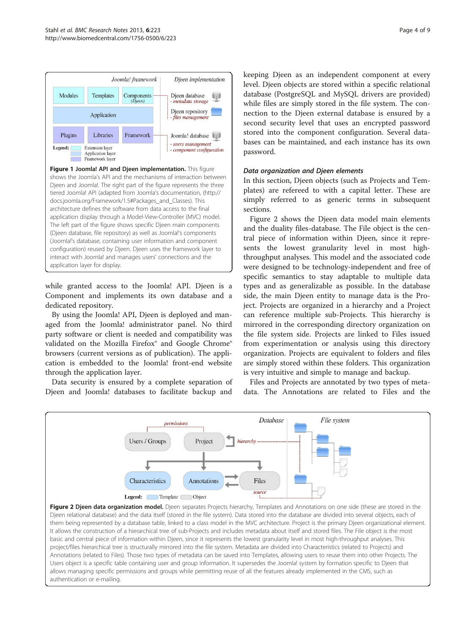<span id="page-3-0"></span>

while granted access to the Joomla! API. Djeen is a Component and implements its own database and a dedicated repository.

By using the Joomla! API, Djeen is deployed and managed from the Joomla! administrator panel. No third party software or client is needed and compatibility was validated on the Mozilla Firefox® and Google Chrome® browsers (current versions as of publication). The application is embedded to the Joomla! front-end website through the application layer.

Data security is ensured by a complete separation of Djeen and Joomla! databases to facilitate backup and

keeping Djeen as an independent component at every level. Djeen objects are stored within a specific relational database (PostgreSQL and MySQL drivers are provided) while files are simply stored in the file system. The connection to the Djeen external database is ensured by a second security level that uses an encrypted password stored into the component configuration. Several databases can be maintained, and each instance has its own password.

#### Data organization and Djeen elements

In this section, Djeen objects (such as Projects and Templates) are refereed to with a capital letter. These are simply referred to as generic terms in subsequent sections.

Figure 2 shows the Djeen data model main elements and the duality files-database. The File object is the central piece of information within Djeen, since it represents the lowest granularity level in most highthroughput analyses. This model and the associated code were designed to be technology-independent and free of specific semantics to stay adaptable to multiple data types and as generalizable as possible. In the database side, the main Djeen entity to manage data is the Project. Projects are organized in a hierarchy and a Project can reference multiple sub-Projects. This hierarchy is mirrored in the corresponding directory organization on the file system side. Projects are linked to Files issued from experimentation or analysis using this directory organization. Projects are equivalent to folders and files are simply stored within these folders. This organization is very intuitive and simple to manage and backup.

Files and Projects are annotated by two types of metadata. The Annotations are related to Files and the



them being represented by a database table, linked to a class model in the MVC architecture. Project is the primary Djeen organizational element. It allows the construction of a hierarchical tree of sub-Projects and includes metadata about itself and stored files. The File object is the most basic and central piece of information within Djeen, since it represents the lowest granularity level in most high-throughput analyses. This project/files hierarchical tree is structurally mirrored into the file system. Metadata are divided into Characteristics (related to Projects) and Annotations (related to Files). Those two types of metadata can be saved into Templates, allowing users to reuse them into other Projects. The Users object is a specific table containing user and group information. It supersedes the Joomla! system by formation specific to Djeen that allows managing specific permissions and groups while permitting reuse of all the features already implemented in the CMS, such as authentication or e-mailing.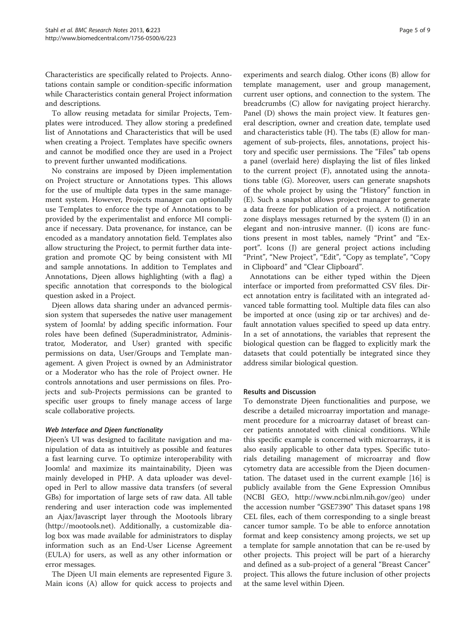Characteristics are specifically related to Projects. Annotations contain sample or condition-specific information while Characteristics contain general Project information and descriptions.

To allow reusing metadata for similar Projects, Templates were introduced. They allow storing a predefined list of Annotations and Characteristics that will be used when creating a Project. Templates have specific owners and cannot be modified once they are used in a Project to prevent further unwanted modifications.

No constrains are imposed by Djeen implementation on Project structure or Annotations types. This allows for the use of multiple data types in the same management system. However, Projects manager can optionally use Templates to enforce the type of Annotations to be provided by the experimentalist and enforce MI compliance if necessary. Data provenance, for instance, can be encoded as a mandatory annotation field. Templates also allow structuring the Project, to permit further data integration and promote QC by being consistent with MI and sample annotations. In addition to Templates and Annotations, Djeen allows highlighting (with a flag) a specific annotation that corresponds to the biological question asked in a Project.

Djeen allows data sharing under an advanced permission system that supersedes the native user management system of Joomla! by adding specific information. Four roles have been defined (Superadministrator, Administrator, Moderator, and User) granted with specific permissions on data, User/Groups and Template management. A given Project is owned by an Administrator or a Moderator who has the role of Project owner. He controls annotations and user permissions on files. Projects and sub-Projects permissions can be granted to specific user groups to finely manage access of large scale collaborative projects.

#### Web Interface and Djeen functionality

Djeen's UI was designed to facilitate navigation and manipulation of data as intuitively as possible and features a fast learning curve. To optimize interoperability with Joomla! and maximize its maintainability, Djeen was mainly developed in PHP. A data uploader was developed in Perl to allow massive data transfers (of several GBs) for importation of large sets of raw data. All table rendering and user interaction code was implemented an Ajax/Javascript layer through the Mootools library (<http://mootools.net>). Additionally, a customizable dialog box was made available for administrators to display information such as an End-User License Agreement (EULA) for users, as well as any other information or error messages.

The Djeen UI main elements are represented Figure [3](#page-5-0). Main icons (A) allow for quick access to projects and

experiments and search dialog. Other icons (B) allow for template management, user and group management, current user options, and connection to the system. The breadcrumbs (C) allow for navigating project hierarchy. Panel (D) shows the main project view. It features general description, owner and creation date, template used and characteristics table (H). The tabs (E) allow for management of sub-projects, files, annotations, project history and specific user permissions. The "Files" tab opens a panel (overlaid here) displaying the list of files linked to the current project  $(F)$ , annotated using the annotations table (G). Moreover, users can generate snapshots of the whole project by using the "History" function in (E). Such a snapshot allows project manager to generate a data freeze for publication of a project. A notification zone displays messages returned by the system (I) in an elegant and non-intrusive manner. (I) icons are functions present in most tables, namely "Print" and "Export". Icons (J) are general project actions including "Print", "New Project", "Edit", "Copy as template", "Copy in Clipboard" and "Clear Clipboard".

Annotations can be either typed within the Djeen interface or imported from preformatted CSV files. Direct annotation entry is facilitated with an integrated advanced table formatting tool. Multiple data files can also be imported at once (using zip or tar archives) and default annotation values specified to speed up data entry. In a set of annotations, the variables that represent the biological question can be flagged to explicitly mark the datasets that could potentially be integrated since they address similar biological question.

#### Results and Discussion

To demonstrate Djeen functionalities and purpose, we describe a detailed microarray importation and management procedure for a microarray dataset of breast cancer patients annotated with clinical conditions. While this specific example is concerned with microarrays, it is also easily applicable to other data types. Specific tutorials detailing management of microarray and flow cytometry data are accessible from the Djeen documentation. The dataset used in the current example [\[16\]](#page-8-0) is publicly available from the Gene Expression Omnibus (NCBI GEO, [http://www.ncbi.nlm.nih.gov/geo\)](http://www.ncbi.nlm.nih.gov/geo) under the accession number "GSE7390" This dataset spans 198 CEL files, each of them corresponding to a single breast cancer tumor sample. To be able to enforce annotation format and keep consistency among projects, we set up a template for sample annotation that can be re-used by other projects. This project will be part of a hierarchy and defined as a sub-project of a general "Breast Cancer" project. This allows the future inclusion of other projects at the same level within Djeen.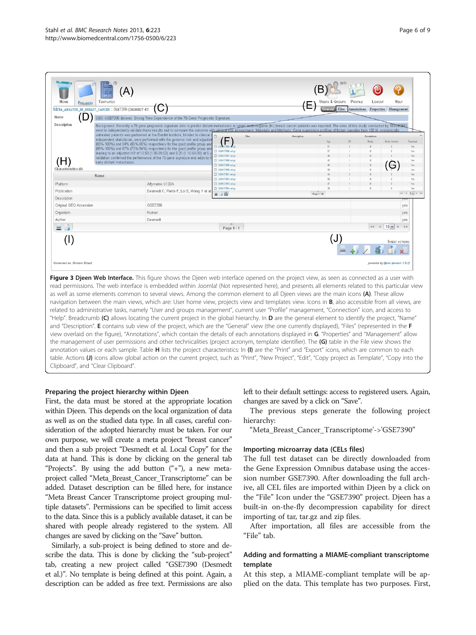<span id="page-5-0"></span>

| HOM<br>PROJECTS<br>Name<br>Description | TEMPLATES<br>META ANALYSIS IN BREAST CANCER :: GSE7390-(DESMEDT- | GEO GSE7390 dataset. Strong Time Dependence of the 76-Gene Prognostic Signature<br>Background: Recently a 76-gene prognostic signature able to predict distant metastases in lymph nede negative (N-) breast cancer patients was reported. The aims of this study conducted by TRANSBIC<br>were to independently validate these results and to compare the outcome with climical risk assessment. Materials and Methods: Gene expression profiling of frozen samples from 198 N- systemically<br>untreated patients was performed at the Bordet Institute, blinded to clinical on<br>independent statistician, were performed with the genomic risk and adjusted<br>(88%-100%) and 94% (83%-98%) respectively for the good profile group and                                                                                                                                                                                                                                                                                                                                                                                                                                                                                                                                                                                                                                                                                                                                                                                                                                                                                                                            |                                                                                                                   | Files<br>Description | ISERS & GROUPS<br>Files | <b>PROFILE</b><br>Logout<br>HELF<br>Annotations<br>Properties<br>Management<br>Nodes Numbe<br>Treatment |
|----------------------------------------|------------------------------------------------------------------|-------------------------------------------------------------------------------------------------------------------------------------------------------------------------------------------------------------------------------------------------------------------------------------------------------------------------------------------------------------------------------------------------------------------------------------------------------------------------------------------------------------------------------------------------------------------------------------------------------------------------------------------------------------------------------------------------------------------------------------------------------------------------------------------------------------------------------------------------------------------------------------------------------------------------------------------------------------------------------------------------------------------------------------------------------------------------------------------------------------------------------------------------------------------------------------------------------------------------------------------------------------------------------------------------------------------------------------------------------------------------------------------------------------------------------------------------------------------------------------------------------------------------------------------------------------------------------------------------------------------------------------------------------------------------|-------------------------------------------------------------------------------------------------------------------|----------------------|-------------------------|---------------------------------------------------------------------------------------------------------|
| Characteristics (6)                    | early distant metastases.                                        | (88%-100%) and 87% (73%-94%) respectively for the good profile group and<br>leading to an adjusted HR of 13.58 (1.85-99.63) and 8.20 (1.10-60.90) at 5 y<br>validation confirmed the performance of the 76-gene signature and adds to t                                                                                                                                                                                                                                                                                                                                                                                                                                                                                                                                                                                                                                                                                                                                                                                                                                                                                                                                                                                                                                                                                                                                                                                                                                                                                                                                                                                                                                 | □ GSM177885.o<br>GSM177886.cel.gz<br>GSM177887.cel.gz<br>GSM177888.cel.gz<br>GSM177889.cel.gz<br>GSM177890.cel.gz |                      | R3                      | Yes<br>$\Omega$<br>Yes<br>Yes<br>Yes<br>Yer<br>Yer                                                      |
|                                        | Name                                                             |                                                                                                                                                                                                                                                                                                                                                                                                                                                                                                                                                                                                                                                                                                                                                                                                                                                                                                                                                                                                                                                                                                                                                                                                                                                                                                                                                                                                                                                                                                                                                                                                                                                                         | GSM177891.cel.gz                                                                                                  |                      |                         | YAR                                                                                                     |
| Platform                               |                                                                  | Affymetrix U133A                                                                                                                                                                                                                                                                                                                                                                                                                                                                                                                                                                                                                                                                                                                                                                                                                                                                                                                                                                                                                                                                                                                                                                                                                                                                                                                                                                                                                                                                                                                                                                                                                                                        | GSM177892.cel.gz<br>GSM177893.cel.gz                                                                              |                      |                         | Yes<br>Yes                                                                                              |
| Publication                            |                                                                  | Desmedt C, Piette F, Loi S, Wang Y et al                                                                                                                                                                                                                                                                                                                                                                                                                                                                                                                                                                                                                                                                                                                                                                                                                                                                                                                                                                                                                                                                                                                                                                                                                                                                                                                                                                                                                                                                                                                                                                                                                                | GSM177894.cel.gz                                                                                                  |                      |                         | $\theta$<br>$\theta$<br>Yes                                                                             |
| Description                            |                                                                  | $=$                                                                                                                                                                                                                                                                                                                                                                                                                                                                                                                                                                                                                                                                                                                                                                                                                                                                                                                                                                                                                                                                                                                                                                                                                                                                                                                                                                                                                                                                                                                                                                                                                                                                     | $+$                                                                                                               |                      | Page 1 / 20             | $cc \leq 10 \text{ W}$ > >                                                                              |
| Original GEO Accession                 |                                                                  | GSE7390                                                                                                                                                                                                                                                                                                                                                                                                                                                                                                                                                                                                                                                                                                                                                                                                                                                                                                                                                                                                                                                                                                                                                                                                                                                                                                                                                                                                                                                                                                                                                                                                                                                                 |                                                                                                                   |                      |                         | yes                                                                                                     |
| Organism                               |                                                                  | Human                                                                                                                                                                                                                                                                                                                                                                                                                                                                                                                                                                                                                                                                                                                                                                                                                                                                                                                                                                                                                                                                                                                                                                                                                                                                                                                                                                                                                                                                                                                                                                                                                                                                   |                                                                                                                   |                      |                         | yes                                                                                                     |
| Author                                 |                                                                  | Desmedt                                                                                                                                                                                                                                                                                                                                                                                                                                                                                                                                                                                                                                                                                                                                                                                                                                                                                                                                                                                                                                                                                                                                                                                                                                                                                                                                                                                                                                                                                                                                                                                                                                                                 |                                                                                                                   |                      |                         | yes                                                                                                     |
|                                        |                                                                  |                                                                                                                                                                                                                                                                                                                                                                                                                                                                                                                                                                                                                                                                                                                                                                                                                                                                                                                                                                                                                                                                                                                                                                                                                                                                                                                                                                                                                                                                                                                                                                                                                                                                         | Page 1/1                                                                                                          |                      |                         | $<$ 10 $\vert$ $\vert$ $\vert$<br>$\, >$<br>$\rightarrow$                                               |
| (I<br>Connected as: Ghislain Bidaut    |                                                                  |                                                                                                                                                                                                                                                                                                                                                                                                                                                                                                                                                                                                                                                                                                                                                                                                                                                                                                                                                                                                                                                                                                                                                                                                                                                                                                                                                                                                                                                                                                                                                                                                                                                                         |                                                                                                                   |                      |                         | <b>SHEET ACTIONS</b><br>powered by Deen Nersion 1.5.2)                                                  |
|                                        | Clipboard", and "Clear Clipboard".                               | Figure 3 Djeen Web Interface. This figure shows the Djeen web interface opened on the project view, as seen as connected as a user with<br>read permissions. The web interface is embedded within Joomla! (Not represented here), and presents all elements related to this particular view<br>as well as some elements common to several views. Among the common element to all Djeen views are the main icons (A). These allow<br>navigation between the main views, which are: User home view, projects view and templates view. Icons in <b>B</b> , also accessible from all views, are<br>related to administrative tasks, namely "User and groups management", current user "Profile" management, "Connection" icon, and access to<br>"Help". Breadcrumb $(C)$ allows locating the current project in the global hierarchy. In $D$ are the general element to identify the project, "Name"<br>and "Description". E contains sub view of the project, which are the "General" view (the one currently displayed), "Files" (represented in the F<br>view overlaid on the figure), "Annotations", which contain the details of each annotations displayed in G. "Properties" and "Management" allow<br>the management of user permissions and other technicalities (project acronym, template identifier). The (G) table in the File view shows the<br>annotation values or each sample. Table $H$ lists the project characteristics: In (I) are the "Print" and "Export" icons, which are common to each<br>table. Actions (J) icons allow global action on the current project, such as "Print", "New Project", "Edit", "Copy project as Template", "Copy into the |                                                                                                                   |                      |                         |                                                                                                         |

#### Preparing the project hierarchy within Djeen

First, the data must be stored at the appropriate location within Djeen. This depends on the local organization of data as well as on the studied data type. In all cases, careful consideration of the adopted hierarchy must be taken. For our own purpose, we will create a meta project "breast cancer" and then a sub project "Desmedt et al. Local Copy" for the data at hand. This is done by clicking on the general tab "Projects". By using the add button ("+"), a new metaproject called "Meta\_Breast\_Cancer\_Transcriptome" can be added. Dataset description can be filled here, for instance "Meta Breast Cancer Transcriptome project grouping multiple datasets". Permissions can be specified to limit access to the data. Since this is a publicly available dataset, it can be shared with people already registered to the system. All changes are saved by clicking on the "Save" button.

Similarly, a sub-project is being defined to store and describe the data. This is done by clicking the "sub-project" tab, creating a new project called "GSE7390 (Desmedt et al.)". No template is being defined at this point. Again, a description can be added as free text. Permissions are also left to their default settings: access to registered users. Again, changes are saved by a click on "Save".

The previous steps generate the following project hierarchy:

"Meta\_Breast\_Cancer\_Transcriptome'->'GSE7390"

#### Importing microarray data (CELs files)

The full test dataset can be directly downloaded from the Gene Expression Omnibus database using the accession number GSE7390. After downloading the full archive, all CEL files are imported within Djeen by a click on the "File" Icon under the "GSE7390" project. Djeen has a built-in on-the-fly decompression capability for direct importing of tar, tar.gz and zip files.

After importation, all files are accessible from the "File" tab.

#### Adding and formatting a MIAME-compliant transcriptome template

At this step, a MIAME-compliant template will be applied on the data. This template has two purposes. First,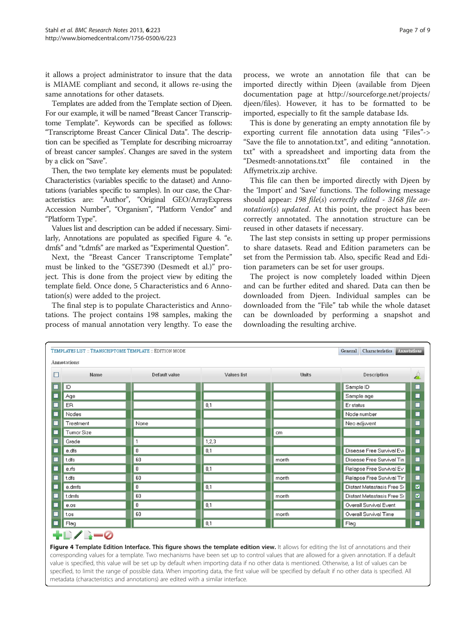it allows a project administrator to insure that the data is MIAME compliant and second, it allows re-using the same annotations for other datasets.

Templates are added from the Template section of Djeen. For our example, it will be named "Breast Cancer Transcriptome Template". Keywords can be specified as follows: "Transcriptome Breast Cancer Clinical Data". The description can be specified as 'Template for describing microarray of breast cancer samples'. Changes are saved in the system by a click on "Save".

Then, the two template key elements must be populated: Characteristics (variables specific to the dataset) and Annotations (variables specific to samples). In our case, the Characteristics are: "Author", "Original GEO/ArrayExpress Accession Number", "Organism", "Platform Vendor" and "Platform Type".

Values list and description can be added if necessary. Similarly, Annotations are populated as specified Figure 4. "e. dmfs" and "t.dmfs" are marked as "Experimental Question".

Next, the "Breast Cancer Transcriptome Template" must be linked to the "GSE7390 (Desmedt et al.)" project. This is done from the project view by editing the template field. Once done, 5 Characteristics and 6 Annotation(s) were added to the project.

The final step is to populate Characteristics and Annotations. The project contains 198 samples, making the process of manual annotation very lengthy. To ease the

process, we wrote an annotation file that can be imported directly within Djeen (available from Djeen documentation page at [http://sourceforge.net/projects/](http://sourceforge.net/projects/djeen/files) [djeen/files](http://sourceforge.net/projects/djeen/files)). However, it has to be formatted to be imported, especially to fit the sample database Ids.

This is done by generating an empty annotation file by exporting current file annotation data using "Files"-> "Save the file to annotation.txt", and editing "annotation. txt" with a spreadsheet and importing data from the "Desmedt-annotations.txt" file contained in the Affymetrix.zip archive.

This file can then be imported directly with Djeen by the 'Import' and 'Save' functions. The following message should appear: 198 file(s) correctly edited - 3168 file annotation(s) updated. At this point, the project has been correctly annotated. The annotation structure can be reused in other datasets if necessary.

The last step consists in setting up proper permissions to share datasets. Read and Edition parameters can be set from the Permission tab. Also, specific Read and Edition parameters can be set for user groups.

The project is now completely loaded within Djeen and can be further edited and shared. Data can then be downloaded from Djeen. Individual samples can be downloaded from the "File" tab while the whole dataset can be downloaded by performing a snapshot and downloading the resulting archive.

| Annotations | TEMPLATES LIST :: TRANSCRIPTOME TEMPLATE :: EDITION MODE | General Characteristics Annotations |                    |       |                            |
|-------------|----------------------------------------------------------|-------------------------------------|--------------------|-------|----------------------------|
| □           | Name                                                     | Default value                       | <b>Values list</b> | Units | <b>Description</b>         |
| ID          |                                                          |                                     |                    |       | Sample ID                  |
| Age         |                                                          |                                     |                    |       | Sample age                 |
| <b>ER</b>   |                                                          |                                     | 0,1                |       | Er status                  |
|             | Nodes                                                    |                                     |                    |       | Node number                |
|             | Treatment                                                | None                                |                    |       | Neo adjuvent               |
|             | Tumor Size                                               |                                     |                    | cm    |                            |
| Grade       |                                                          |                                     | 1,2,3              |       |                            |
| e.dfs       |                                                          | 0                                   | 0,1                |       | Disease Free Survival Evi  |
| t.dfs       |                                                          | 60                                  |                    | month | Disease Free Survival Tin  |
| e.rfs       |                                                          | 0                                   | 0,1                |       | Relapse Free Survival Ev   |
| t.dfs       |                                                          | 60                                  |                    | month | Relapse Free Survival Tir  |
|             | e.dmfs                                                   | 0                                   | 0,1                |       | Distant Metastasis Free Si |
| t.dmfs      |                                                          | 60                                  |                    | month | Distant Metastasis Free Si |
| e.os        |                                                          | 0                                   | 0,1                |       | Overall Survival Event     |
| t.os        |                                                          | 60                                  |                    | month | Overall Survival Time      |
| Flag        |                                                          |                                     | 0,1                |       | Flag                       |

Figure 4 Template Edition Interface. This figure shows the template edition view. It allows for editing the list of annotations and their corresponding values for a template. Two mechanisms have been set up to control values that are allowed for a given annotation. If a default value is specified, this value will be set up by default when importing data if no other data is mentioned. Otherwise, a list of values can be specified, to limit the range of possible data. When importing data, the first value will be specified by default if no other data is specified. All metadata (characteristics and annotations) are edited with a similar interface.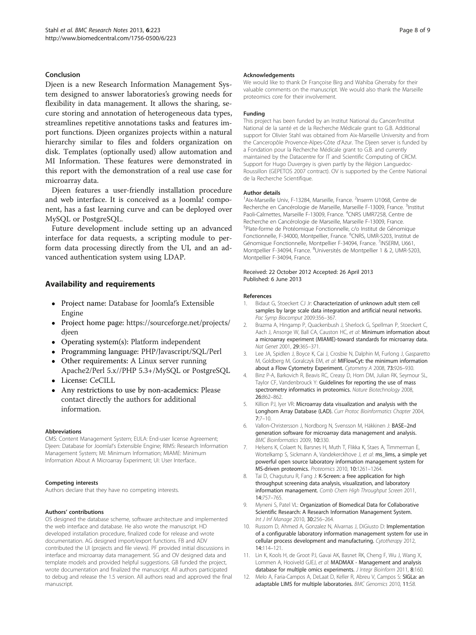#### <span id="page-7-0"></span>Conclusion

Djeen is a new Research Information Management System designed to answer laboratories's growing needs for flexibility in data management. It allows the sharing, secure storing and annotation of heterogeneous data types, streamlines repetitive annotations tasks and features import functions. Djeen organizes projects within a natural hierarchy similar to files and folders organization on disk. Templates (optionally used) allow automation and MI Information. These features were demonstrated in this report with the demonstration of a real use case for microarray data.

Djeen features a user-friendly installation procedure and web interface. It is conceived as a Joomla! component, has a fast learning curve and can be deployed over MySQL or PostgreSQL.

Future development include setting up an advanced interface for data requests, a scripting module to perform data processing directly from the UI, and an advanced authentication system using LDAP.

#### Availability and requirements

- Project name: Database for Joomla!'s Extensible Engine
- Project home page: https://sourceforge.net/projects/ dieen
- Operating system(s): Platform independent
- Programming language: PHP/Javascript/SQL/Perl
- Other requirements: A Linux server running Apache2/Perl 5.x//PHP 5.3+/MySQL or PostgreSQL
- License: CeCILL
- Any restrictions to use by non-academics: Please contact directly the authors for additional information.

#### Abbreviations

CMS: Content Management System; EULA: End-user license Agreement; Djeen: Database for Joomla!'s Extensible Engine; RIMS: Research Information Management System; MI: Minimum Information; MIAME: Minimum Information About A Microarray Experiment; UI: User Interface..

#### Competing interests

Authors declare that they have no competing interests.

#### Authors' contributions

OS designed the database scheme, software architecture and implemented the web interface and database. He also wrote the manuscript. HD developed installation procedure, finalized code for release and wrote documentation. AG designed import/export functions. FB and ADV contributed the UI (projects and file views). PF provided initial discussions in interface and microarray data management. SG and OV designed data and template models and provided helpful suggestions. GB funded the project, wrote documentation and finalized the manuscript. All authors participated to debug and release the 1.5 version. All authors read and approved the final manuscript.

#### Acknowledgements

We would like to thank Dr Françoise Birg and Wahiba Gherraby for their valuable comments on the manuscript. We would also thank the Marseille proteomics core for their involvement.

#### Funding

This project has been funded by an Institut National du Cancer/Institut National de la santé et de la Recherche Médicale grant to G.B. Additional support for Olivier Stahl was obtained from Aix-Marseille University and from the Canceropôle Provence-Alpes-Côte d'Azur. The Djeen server is funded by a Fondation pour la Recherche Médicale grant to G.B. and currently maintained by the Datacentre for IT and Scientific Computing of CRCM. Support for Hugo Duvergey is given partly by the Région Languedoc-Roussillon (GEPETOS 2007 contract). OV is supported by the Centre National de la Recherche Scientifique.

#### Author details

<sup>1</sup> Aix-Marseille Univ, F-13284, Marseille, France. <sup>2</sup>Inserm U1068, Centre de Recherche en Cancérologie de Marseille, Marseille F-13009, France. <sup>3</sup>Institut Paoli-Calmettes, Marseille F-13009, France. <sup>4</sup>CNRS UMR7258, Centre de Recherche en Cancérologie de Marseille, Marseille F-13009, France. 5 Plate-forme de Protéomique Fonctionnelle, c/o Institut de Génomique Fonctionnelle, F-34000, Montpellier, France. <sup>6</sup>CNRS, UMR-5203, Institut de Génomique Fonctionnelle, Montpellier F-34094, France. 7INSERM, U661, Montpellier F-34094, France. <sup>8</sup>Universités de Montpellier 1 & 2, UMR-5203, Montpellier F-34094, France.

#### Received: 22 October 2012 Accepted: 26 April 2013 Published: 6 June 2013

#### References

- Bidaut G, Stoeckert CJ Jr: Characterization of unknown adult stem cell samples by large scale data integration and artificial neural networks. Pac Symp Biocomput 2009:356–367.
- 2. Brazma A, Hingamp P, Quackenbush J, Sherlock G, Spellman P, Stoeckert C, Aach J, Ansorge W, Ball CA, Causton HC, et al: Minimum information about a microarray experiment (MIAME)-toward standards for microarray data. Nat Genet 2001, 29:365–371.
- 3. Lee JA, Spidlen J, Boyce K, Cai J, Crosbie N, Dalphin M, Furlong J, Gasparetto M, Goldberg M, Goralczyk EM, et al: MIFlowCyt: the minimum information about a Flow Cytometry Experiment. Cytometry A 2008, 73:926–930.
- 4. Binz P-A, Barkovich R, Beavis RC, Creasy D, Horn DM, Julian RK, Seymour SL, Taylor CF, Vandenbrouck Y: Guidelines for reporting the use of mass spectrometry informatics in proteomics. Nature Biotechnology 2008, 26:862–862.
- 5. Killion PJ, Iyer VR: Microarray data visualization and analysis with the Longhorn Array Database (LAD). Curr Protoc Bioinformatics Chapter 2004, 7:7–10.
- 6. Vallon-Christersson J, Nordborg N, Svensson M, Häkkinen J: BASE–2nd generation software for microarray data management and analysis. BMC Bioinformatics 2009, 10:330.
- 7. Helsens K, Colaert N, Barsnes H, Muth T, Flikka K, Staes A, Timmerman E, Wortelkamp S, Sickmann A, Vandekerckhove J, et al: ms\_lims, a simple yet powerful open source laboratory information management system for MS-driven proteomics. Proteomics 2010, 10:1261–1264.
- 8. Tai D, Chaguturu R, Fang J: K-Screen: a free application for high throughput screening data analysis, visualization, and laboratory information management. Comb Chem High Throughput Screen 2011, 14:757–765.
- 9. Myneni S, Patel VL: Organization of Biomedical Data for Collaborative Scientific Research: A Research Information Management System. Int J Inf Manage 2010, 30:256–264.
- 10. Russom D, Ahmed A, Gonzalez N, Alvarnas J, DiGiusto D: Implementation of a configurable laboratory information management system for use in cellular process development and manufacturing. Cytotherapy 2012, 14:114–121.
- 11. Lin K, Kools H, de Groot PJ, Gavai AK, Basnet RK, Cheng F, Wu J, Wang X, Lommen A, Hooiveld GJEJ, et al: MADMAX - Management and analysis database for multiple omics experiments. *J Integr Bioinform* 2011, 8:160.
- 12. Melo A, Faria-Campos A, DeLaat D, Keller R, Abreu V, Campos S: SIGLa: an adaptable LIMS for multiple laboratories. BMC Genomics 2010, 11:S8.